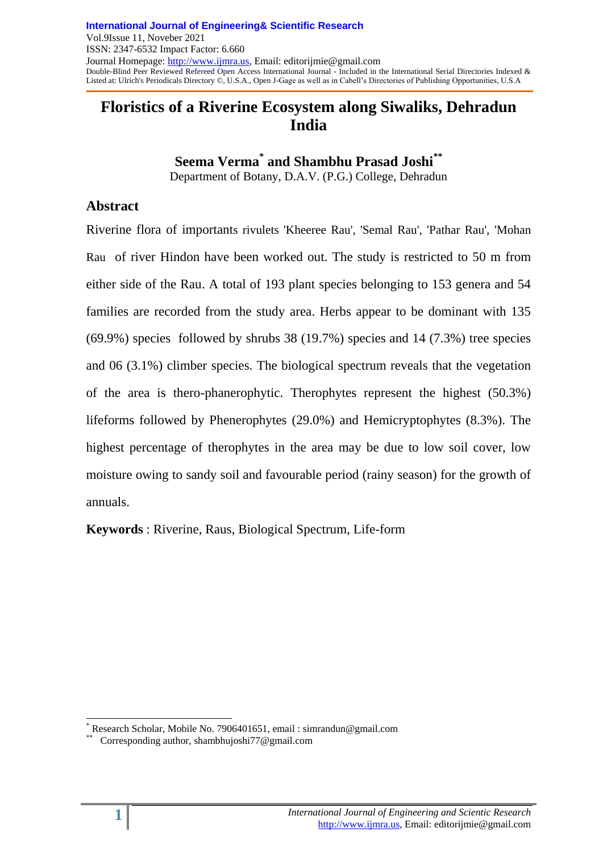# **Floristics of a Riverine Ecosystem along Siwaliks, Dehradun India**

**Seema Verma\* and Shambhu Prasad Joshi\*\***

Department of Botany, D.A.V. (P.G.) College, Dehradun

## **Abstract**

Riverine flora of importants rivulets 'Kheeree Rau', 'Semal Rau', 'Pathar Rau', 'Mohan Rau of river Hindon have been worked out. The study is restricted to 50 m from either side of the Rau. A total of 193 plant species belonging to 153 genera and 54 families are recorded from the study area. Herbs appear to be dominant with 135 (69.9%) species followed by shrubs 38 (19.7%) species and 14 (7.3%) tree species and 06 (3.1%) climber species. The biological spectrum reveals that the vegetation of the area is thero-phanerophytic. Therophytes represent the highest (50.3%) lifeforms followed by Phenerophytes (29.0%) and Hemicryptophytes (8.3%). The highest percentage of therophytes in the area may be due to low soil cover, low moisture owing to sandy soil and favourable period (rainy season) for the growth of annuals.

**Keywords** : Riverine, Raus, Biological Spectrum, Life-form

l Research Scholar, Mobile No. 7906401651, email : simrandun@gmail.com \*\*

Corresponding author, shambhujoshi77@gmail.com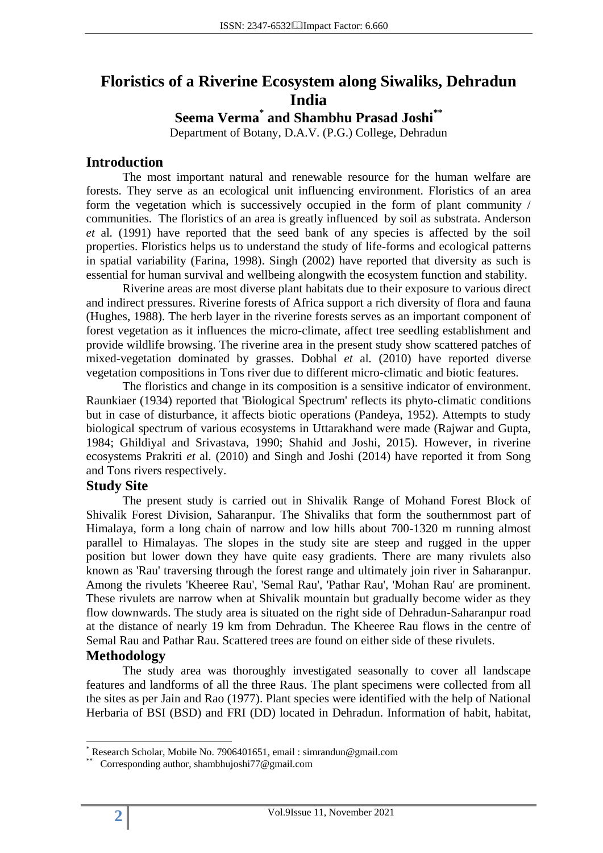# **Floristics of a Riverine Ecosystem along Siwaliks, Dehradun India**

# **Seema Verma\* and Shambhu Prasad Joshi\*\***

Department of Botany, D.A.V. (P.G.) College, Dehradun

### **Introduction**

The most important natural and renewable resource for the human welfare are forests. They serve as an ecological unit influencing environment. Floristics of an area form the vegetation which is successively occupied in the form of plant community / communities. The floristics of an area is greatly influenced by soil as substrata. Anderson *et* al*.* (1991) have reported that the seed bank of any species is affected by the soil properties. Floristics helps us to understand the study of life-forms and ecological patterns in spatial variability (Farina, 1998). Singh (2002) have reported that diversity as such is essential for human survival and wellbeing alongwith the ecosystem function and stability.

Riverine areas are most diverse plant habitats due to their exposure to various direct and indirect pressures. Riverine forests of Africa support a rich diversity of flora and fauna (Hughes, 1988). The herb layer in the riverine forests serves as an important component of forest vegetation as it influences the micro-climate, affect tree seedling establishment and provide wildlife browsing. The riverine area in the present study show scattered patches of mixed-vegetation dominated by grasses. Dobhal *et* al*.* (2010) have reported diverse vegetation compositions in Tons river due to different micro-climatic and biotic features.

The floristics and change in its composition is a sensitive indicator of environment. Raunkiaer (1934) reported that 'Biological Spectrum' reflects its phyto-climatic conditions but in case of disturbance, it affects biotic operations (Pandeya, 1952). Attempts to study biological spectrum of various ecosystems in Uttarakhand were made (Rajwar and Gupta, 1984; Ghildiyal and Srivastava, 1990; Shahid and Joshi, 2015). However, in riverine ecosystems Prakriti *et* al*.* (2010) and Singh and Joshi (2014) have reported it from Song and Tons rivers respectively.

#### **Study Site**

The present study is carried out in Shivalik Range of Mohand Forest Block of Shivalik Forest Division, Saharanpur. The Shivaliks that form the southernmost part of Himalaya, form a long chain of narrow and low hills about 700-1320 m running almost parallel to Himalayas. The slopes in the study site are steep and rugged in the upper position but lower down they have quite easy gradients. There are many rivulets also known as 'Rau' traversing through the forest range and ultimately join river in Saharanpur. Among the rivulets 'Kheeree Rau', 'Semal Rau', 'Pathar Rau', 'Mohan Rau' are prominent. These rivulets are narrow when at Shivalik mountain but gradually become wider as they flow downwards. The study area is situated on the right side of Dehradun-Saharanpur road at the distance of nearly 19 km from Dehradun. The Kheeree Rau flows in the centre of Semal Rau and Pathar Rau. Scattered trees are found on either side of these rivulets.

### **Methodology**

The study area was thoroughly investigated seasonally to cover all landscape features and landforms of all the three Raus. The plant specimens were collected from all the sites as per Jain and Rao (1977). Plant species were identified with the help of National Herbaria of BSI (BSD) and FRI (DD) located in Dehradun. Information of habit, habitat,

l

<sup>\*</sup> Research Scholar, Mobile No. 7906401651, email : simrandun@gmail.com

<sup>\*\*</sup> Corresponding author, shambhujoshi77@gmail.com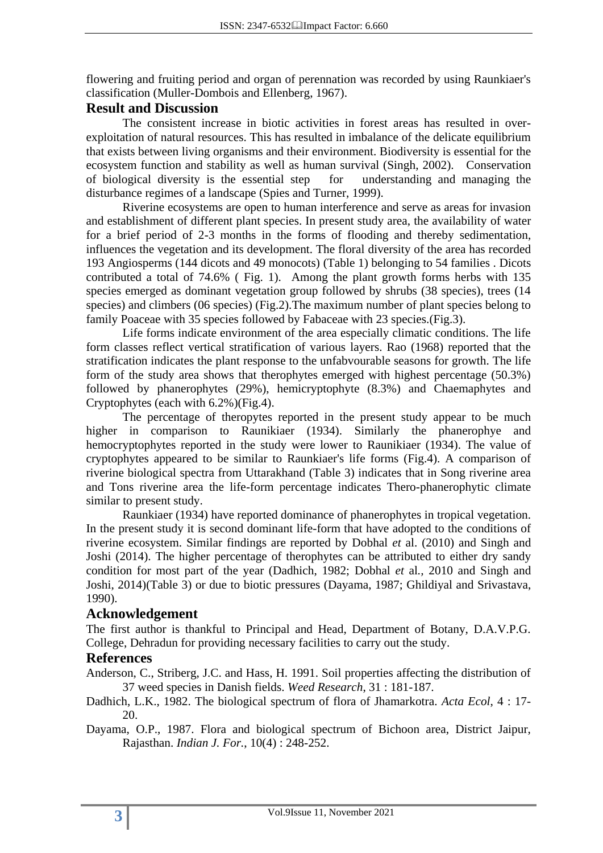flowering and fruiting period and organ of perennation was recorded by using Raunkiaer's classification (Muller-Dombois and Ellenberg, 1967).

#### **Result and Discussion**

The consistent increase in biotic activities in forest areas has resulted in overexploitation of natural resources. This has resulted in imbalance of the delicate equilibrium that exists between living organisms and their environment. Biodiversity is essential for the ecosystem function and stability as well as human survival (Singh, 2002). Conservation of biological diversity is the essential step for understanding and managing the disturbance regimes of a landscape (Spies and Turner, 1999).

Riverine ecosystems are open to human interference and serve as areas for invasion and establishment of different plant species. In present study area, the availability of water for a brief period of 2-3 months in the forms of flooding and thereby sedimentation, influences the vegetation and its development. The floral diversity of the area has recorded 193 Angiosperms (144 dicots and 49 monocots) (Table 1) belonging to 54 families . Dicots contributed a total of 74.6% ( Fig. 1). Among the plant growth forms herbs with 135 species emerged as dominant vegetation group followed by shrubs (38 species), trees (14 species) and climbers (06 species) (Fig.2).The maximum number of plant species belong to family Poaceae with 35 species followed by Fabaceae with 23 species.(Fig.3).

Life forms indicate environment of the area especially climatic conditions. The life form classes reflect vertical stratification of various layers. Rao (1968) reported that the stratification indicates the plant response to the unfabvourable seasons for growth. The life form of the study area shows that therophytes emerged with highest percentage (50.3%) followed by phanerophytes (29%), hemicryptophyte (8.3%) and Chaemaphytes and Cryptophytes (each with 6.2%)(Fig.4).

The percentage of theropytes reported in the present study appear to be much higher in comparison to Raunikiaer (1934). Similarly the phanerophye and hemocryptophytes reported in the study were lower to Raunikiaer (1934). The value of cryptophytes appeared to be similar to Raunkiaer's life forms (Fig.4). A comparison of riverine biological spectra from Uttarakhand (Table 3) indicates that in Song riverine area and Tons riverine area the life-form percentage indicates Thero-phanerophytic climate similar to present study.

Raunkiaer (1934) have reported dominance of phanerophytes in tropical vegetation. In the present study it is second dominant life-form that have adopted to the conditions of riverine ecosystem. Similar findings are reported by Dobhal *et* al. (2010) and Singh and Joshi (2014). The higher percentage of therophytes can be attributed to either dry sandy condition for most part of the year (Dadhich, 1982; Dobhal *et* al*.,* 2010 and Singh and Joshi, 2014)(Table 3) or due to biotic pressures (Dayama, 1987; Ghildiyal and Srivastava, 1990).

### **Acknowledgement**

The first author is thankful to Principal and Head, Department of Botany, D.A.V.P.G. College, Dehradun for providing necessary facilities to carry out the study.

#### **References**

Anderson, C., Striberg, J.C. and Hass, H. 1991. Soil properties affecting the distribution of 37 weed species in Danish fields. *Weed Research*, 31 : 181-187.

Dadhich, L.K., 1982. The biological spectrum of flora of Jhamarkotra. *Acta Ecol*, 4 : 17- 20.

Dayama, O.P., 1987. Flora and biological spectrum of Bichoon area, District Jaipur, Rajasthan. *Indian J. For.*, 10(4) : 248-252.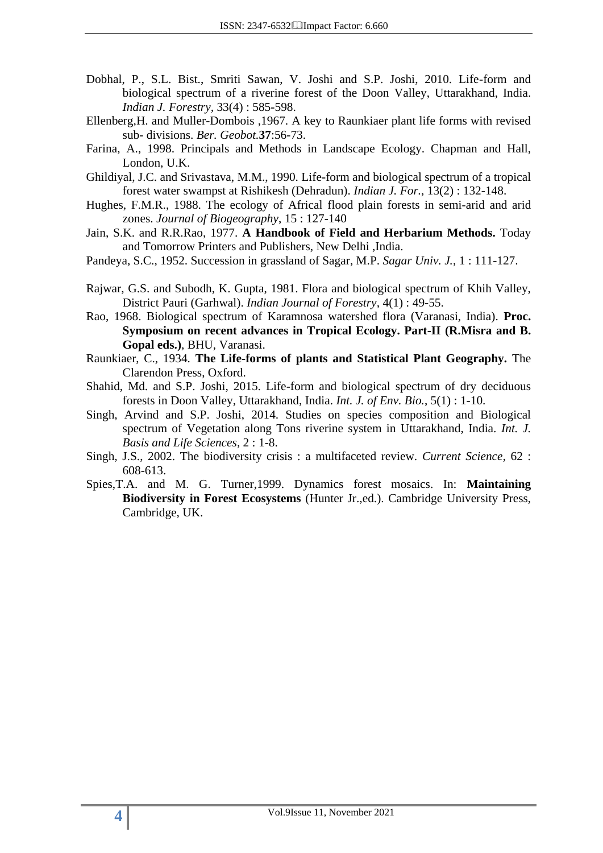- Dobhal, P., S.L. Bist., Smriti Sawan, V. Joshi and S.P. Joshi, 2010. Life-form and biological spectrum of a riverine forest of the Doon Valley, Uttarakhand, India. *Indian J. Forestry,* 33(4) : 585-598.
- Ellenberg,H. and Muller-Dombois ,1967. A key to Raunkiaer plant life forms with revised sub- divisions. *Ber. Geobot.***37**:56-73.
- Farina, A., 1998. Principals and Methods in Landscape Ecology. Chapman and Hall, London, U.K.
- Ghildiyal, J.C. and Srivastava, M.M., 1990. Life-form and biological spectrum of a tropical forest water swampst at Rishikesh (Dehradun). *Indian J. For.*, 13(2) : 132-148.
- Hughes, F.M.R., 1988. The ecology of Africal flood plain forests in semi-arid and arid zones. *Journal of Biogeography*, 15 : 127-140
- Jain, S.K. and R.R.Rao, 1977. **A Handbook of Field and Herbarium Methods.** Today and Tomorrow Printers and Publishers, New Delhi ,India.
- Pandeya, S.C., 1952. Succession in grassland of Sagar, M.P. *Sagar Univ. J.*, 1 : 111-127.
- Rajwar, G.S. and Subodh, K. Gupta, 1981. Flora and biological spectrum of Khih Valley, District Pauri (Garhwal). *Indian Journal of Forestry,* 4(1) : 49-55.
- Rao, 1968. Biological spectrum of Karamnosa watershed flora (Varanasi, India). **Proc. Symposium on recent advances in Tropical Ecology. Part-II (R.Misra and B. Gopal eds.)**, BHU, Varanasi.
- Raunkiaer, C., 1934. **The Life-forms of plants and Statistical Plant Geography.** The Clarendon Press, Oxford.
- Shahid, Md. and S.P. Joshi, 2015. Life-form and biological spectrum of dry deciduous forests in Doon Valley, Uttarakhand, India. *Int. J. of Env. Bio.*, 5(1) : 1-10.
- Singh, Arvind and S.P. Joshi, 2014. Studies on species composition and Biological spectrum of Vegetation along Tons riverine system in Uttarakhand, India. *Int. J. Basis and Life Sciences,* 2 : 1-8.
- Singh, J.S., 2002. The biodiversity crisis : a multifaceted review. *Current Science*, 62 : 608-613.
- Spies,T.A. and M. G. Turner,1999. Dynamics forest mosaics. In: **Maintaining Biodiversity in Forest Ecosystems** (Hunter Jr.,ed.). Cambridge University Press, Cambridge, UK.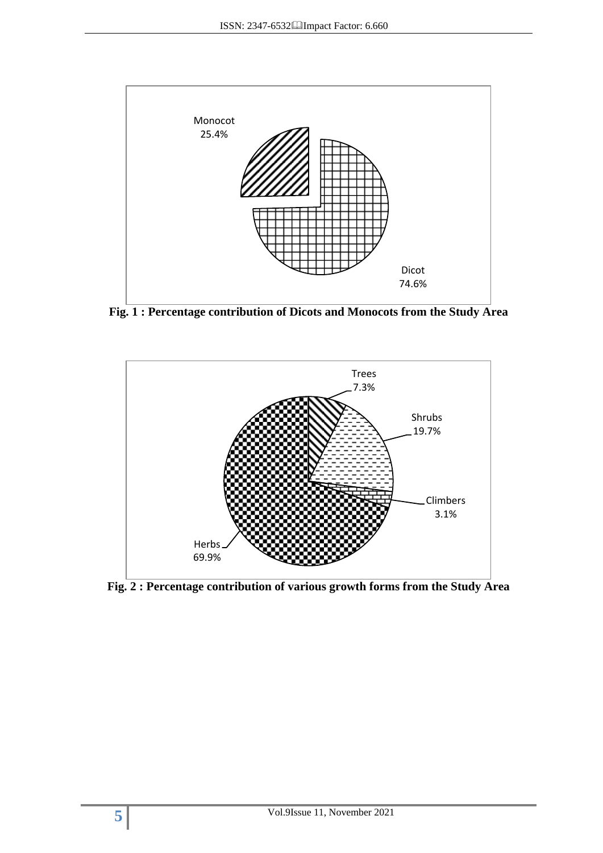

**Fig. 1 : Percentage contribution of Dicots and Monocots from the Study Area**



**Fig. 2 : Percentage contribution of various growth forms from the Study Area**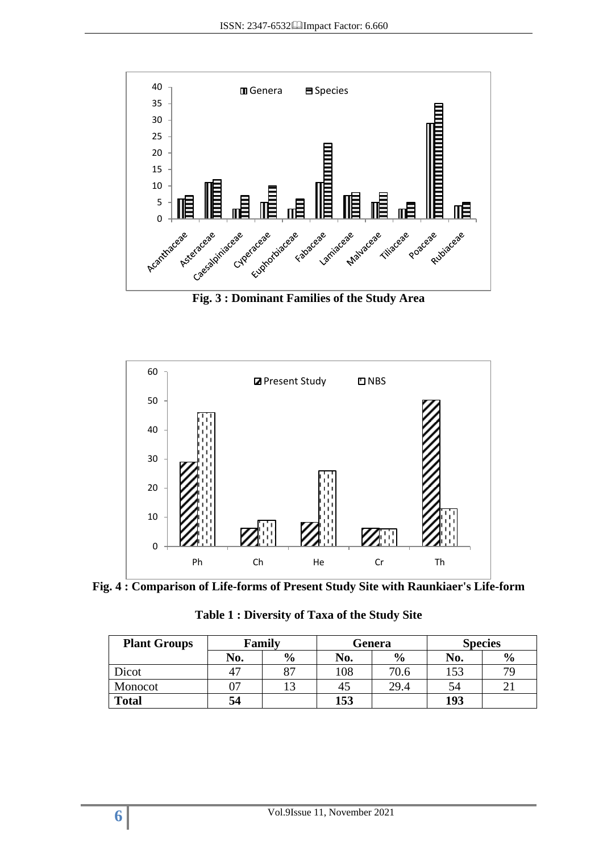

**Fig. 3 : Dominant Families of the Study Area**





**Table 1 : Diversity of Taxa of the Study Site**

| <b>Plant Groups</b> | Family |               | Genera |               | <b>Species</b> |               |
|---------------------|--------|---------------|--------|---------------|----------------|---------------|
|                     | No.    | $\frac{6}{9}$ | No.    | $\frac{6}{6}$ | No.            | $\frac{6}{6}$ |
| Dicot               | 47     | oп            | 108    | 70.6          | 153            | 79            |
| Monocot             | 07     |               |        | 29.4          | 54             |               |
| <b>Total</b>        | 54     |               | 153    |               | 193            |               |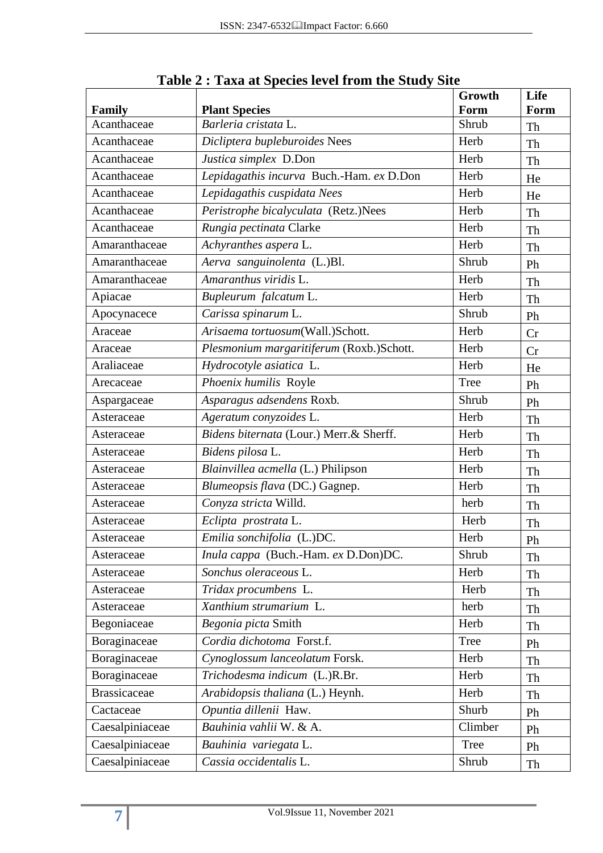| Family              | <b>Plant Species</b>                     | Growth<br>Form | Life<br>Form |
|---------------------|------------------------------------------|----------------|--------------|
| Acanthaceae         | Barleria cristata L.                     | Shrub          | Th           |
| Acanthaceae         | Dicliptera bupleburoides Nees            | Herb           | Th           |
| Acanthaceae         | Justica simplex D.Don                    | Herb           | Th           |
| Acanthaceae         | Lepidagathis incurva Buch.-Ham. ex D.Don | Herb           | He           |
| Acanthaceae         | Lepidagathis cuspidata Nees              | Herb           | He           |
| Acanthaceae         | Peristrophe bicalyculata (Retz.)Nees     | Herb           | Th           |
| Acanthaceae         | Rungia pectinata Clarke                  | Herb           | Th           |
| Amaranthaceae       | Achyranthes aspera L.                    | Herb           | Th           |
| Amaranthaceae       | Aerva sanguinolenta (L.)Bl.              | Shrub          | Ph           |
| Amaranthaceae       | Amaranthus viridis L.                    | Herb           | Th           |
| Apiacae             | Bupleurum falcatum L.                    | Herb           | Th           |
| Apocynacece         | Carissa spinarum L.                      | Shrub          | Ph           |
| Araceae             | Arisaema tortuosum(Wall.)Schott.         | Herb           | Cr           |
| Araceae             | Plesmonium margaritiferum (Roxb.)Schott. | Herb           | Cr           |
| Araliaceae          | Hydrocotyle asiatica L.                  | Herb           | He           |
| Arecaceae           | Phoenix humilis Royle                    | <b>Tree</b>    | Ph           |
| Aspargaceae         | Asparagus adsendens Roxb.                | Shrub          | Ph           |
| Asteraceae          | Ageratum conyzoides L.                   | Herb           | Th           |
| Asteraceae          | Bidens biternata (Lour.) Merr.& Sherff.  | Herb           | Th           |
| Asteraceae          | Bidens pilosa L.                         | Herb           | Th           |
| Asteraceae          | Blainvillea acmella (L.) Philipson       | Herb           | Th           |
| Asteraceae          | Blumeopsis flava (DC.) Gagnep.           | Herb           | Th           |
| Asteraceae          | Conyza stricta Willd.                    | herb           | Th           |
| Asteraceae          | Eclipta prostrata L.                     | Herb           | Th           |
| Asteraceae          | Emilia sonchifolia (L.)DC.               | Herb           | Ph           |
| Asteraceae          | Inula cappa (Buch.-Ham. ex D.Don)DC.     | Shrub          | Th           |
| Asteraceae          | Sonchus oleraceous L.                    | Herb           | Th           |
| Asteraceae          | Tridax procumbens L.                     | Herb           | Th           |
| Asteraceae          | Xanthium strumarium L.                   | herb           | Th           |
| Begoniaceae         | Begonia picta Smith                      | Herb           | Th           |
| Boraginaceae        | Cordia dichotoma Forst.f.                | Tree           | Ph           |
| Boraginaceae        | Cynoglossum lanceolatum Forsk.           | Herb           | Th           |
| Boraginaceae        | Trichodesma indicum (L.)R.Br.            | Herb           | Th           |
| <b>Brassicaceae</b> | Arabidopsis thaliana (L.) Heynh.         | Herb           | Th           |
| Cactaceae           | Opuntia dillenii Haw.                    | Shurb          | Ph           |
| Caesalpiniaceae     | Bauhinia vahlii W. & A.                  | Climber        | Ph           |
| Caesalpiniaceae     | Bauhinia variegata L.                    | <b>Tree</b>    | Ph           |
| Caesalpiniaceae     | Cassia occidentalis L.                   | Shrub          | Th           |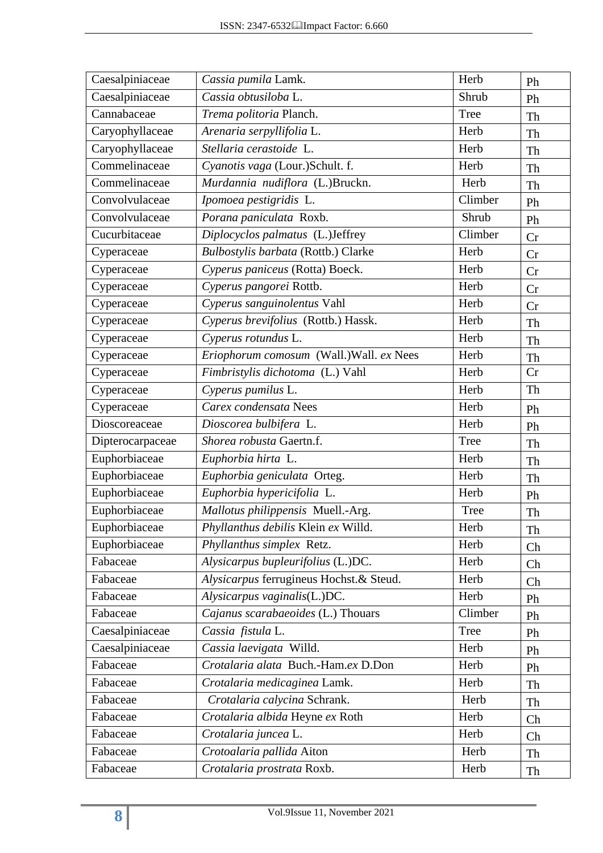| Caesalpiniaceae  | Cassia pumila Lamk.                      | Herb        | Ph |
|------------------|------------------------------------------|-------------|----|
| Caesalpiniaceae  | Cassia obtusiloba L.                     | Shrub       | Ph |
| Cannabaceae      | Trema politoria Planch.                  | Tree        | Th |
| Caryophyllaceae  | Arenaria serpyllifolia L.                | Herb        | Th |
| Caryophyllaceae  | Stellaria cerastoide L.                  | Herb        | Th |
| Commelinaceae    | Cyanotis vaga (Lour.)Schult. f.          | Herb        | Th |
| Commelinaceae    | Murdannia nudiflora (L.)Bruckn.          | Herb        | Th |
| Convolvulaceae   | Ipomoea pestigridis L.                   | Climber     | Ph |
| Convolvulaceae   | Porana paniculata Roxb.                  | Shrub       | Ph |
| Cucurbitaceae    | Diplocyclos palmatus (L.)Jeffrey         | Climber     | Cr |
| Cyperaceae       | Bulbostylis barbata (Rottb.) Clarke      | Herb        | Cr |
| Cyperaceae       | Cyperus paniceus (Rotta) Boeck.          | Herb        | Cr |
| Cyperaceae       | Cyperus pangorei Rottb.                  | Herb        | Cr |
| Cyperaceae       | Cyperus sanguinolentus Vahl              | Herb        | Cr |
| Cyperaceae       | Cyperus brevifolius (Rottb.) Hassk.      | Herb        | Th |
| Cyperaceae       | Cyperus rotundus L.                      | Herb        | Th |
| Cyperaceae       | Eriophorum comosum (Wall.) Wall. ex Nees | Herb        | Th |
| Cyperaceae       | Fimbristylis dichotoma (L.) Vahl         | Herb        | Cr |
| Cyperaceae       | Cyperus pumilus L.                       | Herb        | Th |
| Cyperaceae       | Carex condensata Nees                    | Herb        | Ph |
| Dioscoreaceae    | Dioscorea bulbifera L.                   | Herb        | Ph |
| Dipterocarpaceae | Shorea robusta Gaertn.f.                 | <b>Tree</b> | Th |
| Euphorbiaceae    | Euphorbia hirta L.                       | Herb        | Th |
| Euphorbiaceae    | Euphorbia geniculata Orteg.              | Herb        | Th |
| Euphorbiaceae    | Euphorbia hypericifolia L.               | Herb        | Ph |
| Euphorbiaceae    | Mallotus philippensis Muell.-Arg.        | <b>Tree</b> | Th |
| Euphorbiaceae    | Phyllanthus debilis Klein ex Willd.      | Herb        | Th |
| Euphorbiaceae    | Phyllanthus simplex Retz.                | Herb        | Ch |
| Fabaceae         | Alysicarpus bupleurifolius (L.)DC.       | Herb        | Ch |
| Fabaceae         | Alysicarpus ferrugineus Hochst.& Steud.  | Herb        | Ch |
| Fabaceae         | Alysicarpus vaginalis(L.)DC.             | Herb        | Ph |
| Fabaceae         | Cajanus scarabaeoides (L.) Thouars       | Climber     | Ph |
| Caesalpiniaceae  | Cassia fistula L.                        | Tree        | Ph |
| Caesalpiniaceae  | Cassia laevigata Willd.                  | Herb        | Ph |
| Fabaceae         | Crotalaria alata Buch.-Ham.ex D.Don      | Herb        | Ph |
| Fabaceae         | Crotalaria medicaginea Lamk.             | Herb        | Th |
| Fabaceae         | Crotalaria calycina Schrank.             | Herb        | Th |
| Fabaceae         | Crotalaria albida Heyne ex Roth          | Herb        | Ch |
| Fabaceae         | Crotalaria juncea L.                     | Herb        | Ch |
| Fabaceae         | Crotoalaria pallida Aiton                | Herb        | Th |
| Fabaceae         | Crotalaria prostrata Roxb.               | Herb        | Th |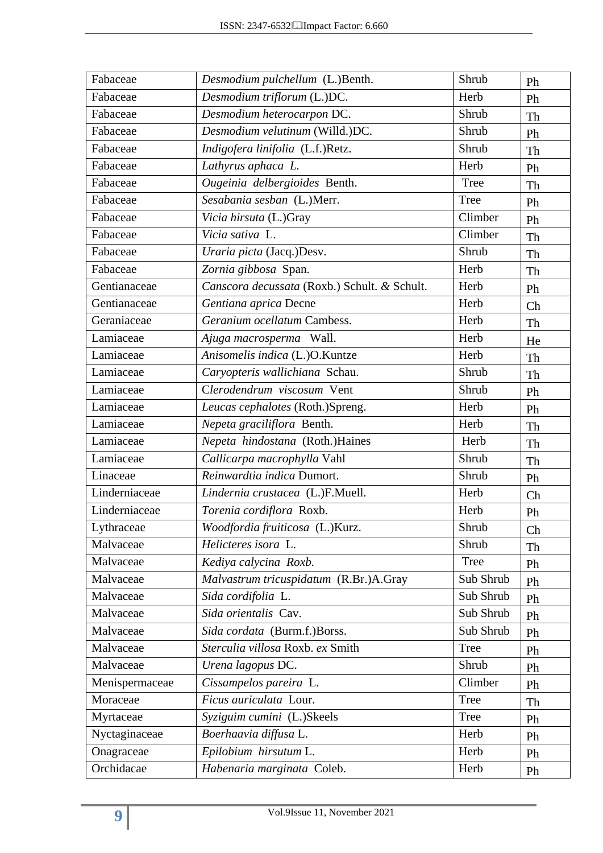| Fabaceae       | Desmodium pulchellum (L.)Benth.              | Shrub       | Ph |  |
|----------------|----------------------------------------------|-------------|----|--|
| Fabaceae       | Desmodium triflorum (L.)DC.                  | Herb        | Ph |  |
| Fabaceae       | Desmodium heterocarpon DC.                   | Shrub       | Th |  |
| Fabaceae       | Desmodium velutinum (Willd.)DC.<br>Shrub     |             |    |  |
| Fabaceae       | Indigofera linifolia (L.f.)Retz.             | Shrub       | Th |  |
| Fabaceae       | Lathyrus aphaca L.                           | Herb        | Ph |  |
| Fabaceae       | Ougeinia delbergioides Benth.                | Tree        | Th |  |
| Fabaceae       | Sesabania sesban (L.)Merr.                   | Tree        | Ph |  |
| Fabaceae       | Vicia hirsuta (L.)Gray                       | Climber     | Ph |  |
| Fabaceae       | Vicia sativa L.                              | Climber     | Th |  |
| Fabaceae       | Uraria picta (Jacq.)Desv.                    | Shrub       | Th |  |
| Fabaceae       | Zornia gibbosa Span.                         | Herb        | Th |  |
| Gentianaceae   | Canscora decussata (Roxb.) Schult. & Schult. | Herb        | Ph |  |
| Gentianaceae   | Gentiana aprica Decne                        | Herb        | Ch |  |
| Geraniaceae    | Geranium ocellatum Cambess.                  | Herb        | Th |  |
| Lamiaceae      | Ajuga macrosperma Wall.                      | Herb        | He |  |
| Lamiaceae      | Anisomelis indica (L.)O.Kuntze               | Herb        | Th |  |
| Lamiaceae      | Caryopteris wallichiana Schau.               | Shrub       | Th |  |
| Lamiaceae      | Clerodendrum viscosum Vent                   | Shrub       | Ph |  |
| Lamiaceae      | Leucas cephalotes (Roth.)Spreng.             | Herb        | Ph |  |
| Lamiaceae      | Nepeta graciliflora Benth.                   | Herb        | Th |  |
| Lamiaceae      | Nepeta hindostana (Roth.)Haines              | Herb        | Th |  |
| Lamiaceae      | Callicarpa macrophylla Vahl                  | Shrub       | Th |  |
| Linaceae       | Reinwardtia indica Dumort.                   | Shrub       | Ph |  |
| Linderniaceae  | Lindernia crustacea (L.)F.Muell.             | Herb        | Ch |  |
| Linderniaceae  | Torenia cordiflora Roxb.                     | Herb        | Ph |  |
| Lythraceae     | Woodfordia fruiticosa (L.)Kurz.              | Shrub       | Ch |  |
| Malvaceae      | Helicteres isora L.                          | Shrub       | Th |  |
| Malvaceae      | Kediya calycina Roxb.                        | <b>Tree</b> | Ph |  |
| Malvaceae      | Malvastrum tricuspidatum (R.Br.)A.Gray       | Sub Shrub   | Ph |  |
| Malvaceae      | Sida cordifolia L.                           | Sub Shrub   | Ph |  |
| Malvaceae      | Sida orientalis Cav.                         | Sub Shrub   | Ph |  |
| Malvaceae      | Sida cordata (Burm.f.)Borss.<br>Sub Shrub    |             | Ph |  |
| Malvaceae      | Sterculia villosa Roxb. ex Smith             | Tree        |    |  |
| Malvaceae      | Urena lagopus DC.                            | Shrub       | Ph |  |
| Menispermaceae | Cissampelos pareira L.                       | Climber     | Ph |  |
| Moraceae       | Ficus auriculata Lour.                       | Tree        | Th |  |
| Myrtaceae      | Syziguim cumini (L.)Skeels                   | Tree        | Ph |  |
| Nyctaginaceae  | Boerhaavia diffusa L.                        | Herb<br>Ph  |    |  |
| Onagraceae     | Epilobium hirsutum L.                        | Herb<br>Ph  |    |  |
| Orchidacae     | Habenaria marginata Coleb.                   | Herb        | Ph |  |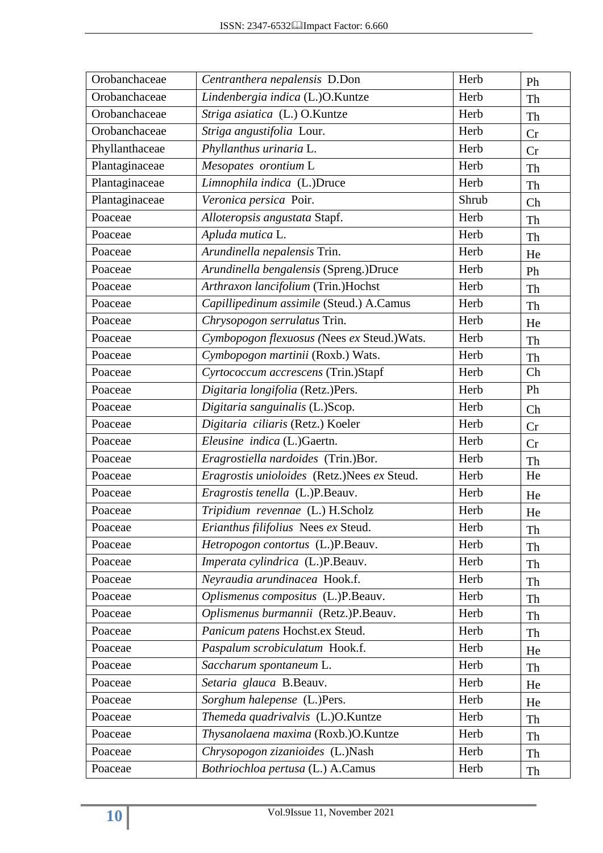| Orobanchaceae  | Centranthera nepalensis D.Don               | Herb  | Ph |
|----------------|---------------------------------------------|-------|----|
| Orobanchaceae  | Lindenbergia indica (L.)O.Kuntze            | Herb  | Th |
| Orobanchaceae  | Striga asiatica (L.) O.Kuntze               | Herb  | Th |
| Orobanchaceae  | Striga angustifolia Lour.                   | Herb  | Cr |
| Phyllanthaceae | Phyllanthus urinaria L.                     | Herb  | Cr |
| Plantaginaceae | Mesopates orontium L                        | Herb  | Th |
| Plantaginaceae | Limnophila indica (L.)Druce                 | Herb  | Th |
| Plantaginaceae | Veronica persica Poir.                      | Shrub | Ch |
| Poaceae        | Alloteropsis angustata Stapf.               | Herb  | Th |
| Poaceae        | Apluda mutica L.                            | Herb  | Th |
| Poaceae        | Arundinella nepalensis Trin.                | Herb  | He |
| Poaceae        | Arundinella bengalensis (Spreng.)Druce      | Herb  | Ph |
| Poaceae        | Arthraxon lancifolium (Trin.)Hochst         | Herb  | Th |
| Poaceae        | Capillipedinum assimile (Steud.) A.Camus    | Herb  | Th |
| Poaceae        | Chrysopogon serrulatus Trin.                | Herb  | He |
| Poaceae        | Cymbopogon flexuosus (Nees ex Steud.) Wats. | Herb  | Th |
| Poaceae        | Cymbopogon martinii (Roxb.) Wats.           | Herb  | Th |
| Poaceae        | Cyrtococcum accrescens (Trin.)Stapf         | Herb  | Ch |
| Poaceae        | Digitaria longifolia (Retz.)Pers.           | Herb  | Ph |
| Poaceae        | Digitaria sanguinalis (L.)Scop.             | Herb  | Ch |
| Poaceae        | Digitaria ciliaris (Retz.) Koeler           | Herb  | Cr |
| Poaceae        | Eleusine indica (L.)Gaertn.                 | Herb  | Cr |
| Poaceae        | Eragrostiella nardoides (Trin.)Bor.         | Herb  | Th |
| Poaceae        | Eragrostis unioloides (Retz.)Nees ex Steud. | Herb  | He |
| Poaceae        | Eragrostis tenella (L.)P.Beauv.             | Herb  | He |
| Poaceae        | Tripidium revennae (L.) H.Scholz            | Herb  | He |
| Poaceae        | Erianthus filifolius Nees ex Steud.         | Herb  | Th |
| Poaceae        | Hetropogon contortus (L.)P.Beauv.           | Herb  | Th |
| Poaceae        | Imperata cylindrica (L.)P.Beauv.            | Herb  | Th |
| Poaceae        | Neyraudia arundinacea Hook.f.               | Herb  | Th |
| Poaceae        | Oplismenus compositus (L.)P.Beauv.          | Herb  | Th |
| Poaceae        | Oplismenus burmannii (Retz.)P.Beauv.        | Herb  | Th |
| Poaceae        | Panicum patens Hochst.ex Steud.             | Herb  | Th |
| Poaceae        | Paspalum scrobiculatum Hook.f.              | Herb  | He |
| Poaceae        | Saccharum spontaneum L.                     | Herb  | Th |
| Poaceae        | Setaria glauca B.Beauv.                     | Herb  | He |
| Poaceae        | Sorghum halepense (L.)Pers.                 | Herb  | He |
| Poaceae        | Themeda quadrivalvis (L.)O.Kuntze           | Herb  | Th |
| Poaceae        | Thysanolaena maxima (Roxb.)O.Kuntze         | Herb  | Th |
| Poaceae        | Chrysopogon zizanioides (L.)Nash            | Herb  | Th |
| Poaceae        | Bothriochloa pertusa (L.) A.Camus           | Herb  | Th |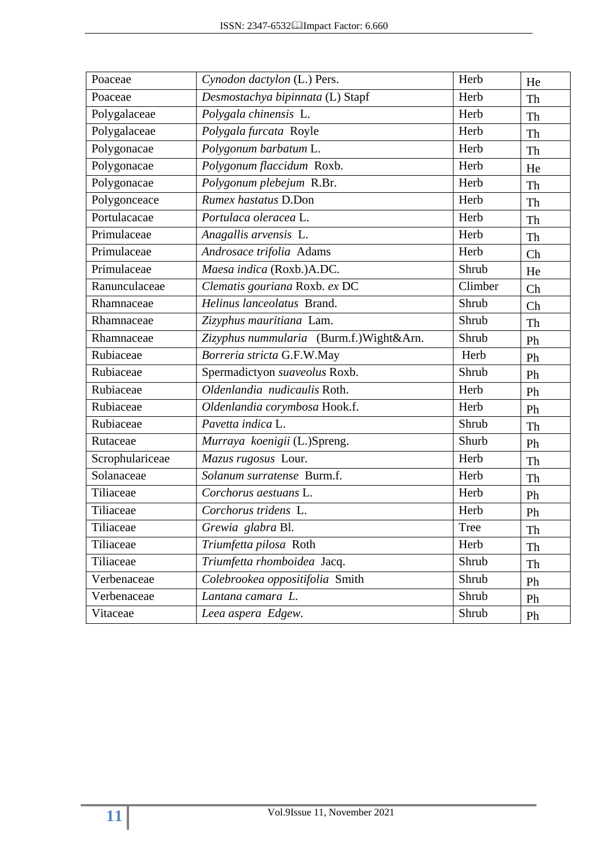| Poaceae         | Cynodon dactylon (L.) Pers.             | Herb    | He |
|-----------------|-----------------------------------------|---------|----|
| Poaceae         | Desmostachya bipinnata (L) Stapf        | Herb    | Th |
| Polygalaceae    | Polygala chinensis L.                   | Herb    | Th |
| Polygalaceae    | Polygala furcata Royle                  | Herb    | Th |
| Polygonacae     | Polygonum barbatum L.                   | Herb    | Th |
| Polygonacae     | Polygonum flaccidum Roxb.               | Herb    | He |
| Polygonacae     | Polygonum plebejum R.Br.                | Herb    | Th |
| Polygonceace    | Rumex hastatus D.Don                    | Herb    | Th |
| Portulacacae    | Portulaca oleracea L.                   | Herb    | Th |
| Primulaceae     | Anagallis arvensis L.                   | Herb    | Th |
| Primulaceae     | Androsace trifolia Adams                | Herb    | Ch |
| Primulaceae     | Maesa indica (Roxb.)A.DC.               | Shrub   | He |
| Ranunculaceae   | Clematis gouriana Roxb. ex DC           | Climber | Ch |
| Rhamnaceae      | Helinus lanceolatus Brand.              | Shrub   | Ch |
| Rhamnaceae      | Zizyphus mauritiana Lam.                | Shrub   | Th |
| Rhamnaceae      | Zizyphus nummularia (Burm.f.)Wight&Arn. | Shrub   | Ph |
| Rubiaceae       | Borreria stricta G.F.W.May              | Herb    | Ph |
| Rubiaceae       | Spermadictyon suaveolus Roxb.           | Shrub   | Ph |
| Rubiaceae       | Oldenlandia nudicaulis Roth.            | Herb    | Ph |
| Rubiaceae       | Oldenlandia corymbosa Hook.f.           | Herb    | Ph |
| Rubiaceae       | Pavetta indica L.                       | Shrub   | Th |
| Rutaceae        | Murraya koenigii (L.)Spreng.            | Shurb   | Ph |
| Scrophulariceae | Mazus rugosus Lour.                     | Herb    | Th |
| Solanaceae      | Solanum surratense Burm.f.              | Herb    | Th |
| Tiliaceae       | Corchorus aestuans L.                   | Herb    | Ph |
| Tiliaceae       | Corchorus tridens L.                    | Herb    | Ph |
| Tiliaceae       | Grewia glabra Bl.                       | Tree    | Th |
| Tiliaceae       | Triumfetta pilosa Roth                  | Herb    | Th |
| Tiliaceae       | Triumfetta rhomboidea Jacq.             | Shrub   | Th |
| Verbenaceae     | Colebrookea oppositifolia Smith         | Shrub   | Ph |
| Verbenaceae     | Lantana camara L.                       | Shrub   | Ph |
| Vitaceae        | Leea aspera Edgew.                      | Shrub   | Ph |